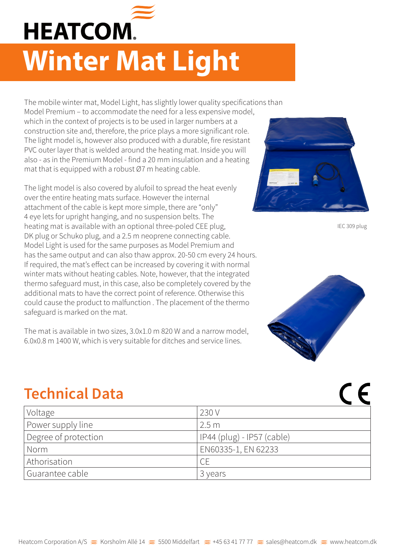

## **Winter Mat Light**

The mobile winter mat, Model Light, has slightly lower quality specifications than Model Premium – to accommodate the need for a less expensive model, which in the context of projects is to be used in larger numbers at a construction site and, therefore, the price plays a more significant role. The light model is, however also produced with a durable, fire resistant PVC outer layer that is welded around the heating mat. Inside you will also - as in the Premium Model - find a 20 mm insulation and a heating mat that is equipped with a robust Ø7 m heating cable.

The light model is also covered by alufoil to spread the heat evenly over the entire heating mats surface. However the internal attachment of the cable is kept more simple, there are "only" 4 eye lets for upright hanging, and no suspension belts. The heating mat is available with an optional three-poled CEE plug, DK plug or Schuko plug, and a 2.5 m neoprene connecting cable. Model Light is used for the same purposes as Model Premium and has the same output and can also thaw approx. 20-50 cm every 24 hours. If required, the mat's effect can be increased by covering it with normal winter mats without heating cables. Note, however, that the integrated thermo safeguard must, in this case, also be completely covered by the additional mats to have the correct point of reference. Otherwise this could cause the product to malfunction . The placement of the thermo safeguard is marked on the mat.

The mat is available in two sizes, 3.0x1.0 m 820 W and a narrow model, 6.0x0.8 m 1400 W, which is very suitable for ditches and service lines.



IEC 309 plug

 $\epsilon$ 



## **Technical Data**

| Voltage              | 230 V                      |
|----------------------|----------------------------|
| Power supply line    | 2.5m                       |
| Degree of protection | IP44 (plug) - IP57 (cable) |
| Norm                 | EN60335-1, EN 62233        |
| Athorisation         |                            |
| Guarantee cable      | 3 years                    |